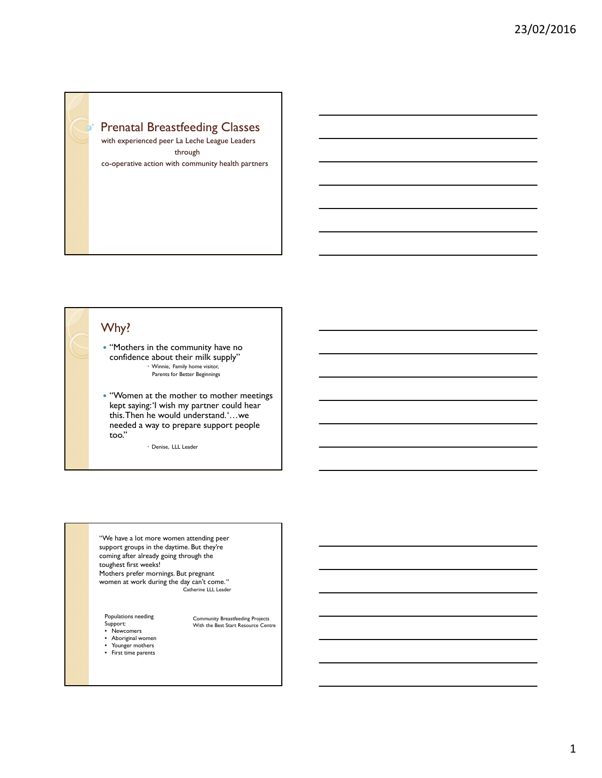

with experienced peer La Leche League Leaders through co-operative action with community health partners

# Why?

• "Mothers in the community have no confidence about their milk supply" Winnie, Family home visitor, Parents for Better Beginnings

 "Women at the mother to mother meetings kept saying: 'I wish my partner could hear this. Then he would understand. '…we needed a way to prepare support people too."

Denise, LLL Leader

"We have a lot more women attending peer support groups in the daytime. But they're coming after already going through the toughest first weeks! Mothers prefer mornings. But pregnant

women at work during the day can't come. " Catherine LLL Leader

Community Breastfeeding Projects With the Best Start Resource Centre

Populations needing Support: • Newcomers

- Aboriginal women • Younger mothers
- First time parents

1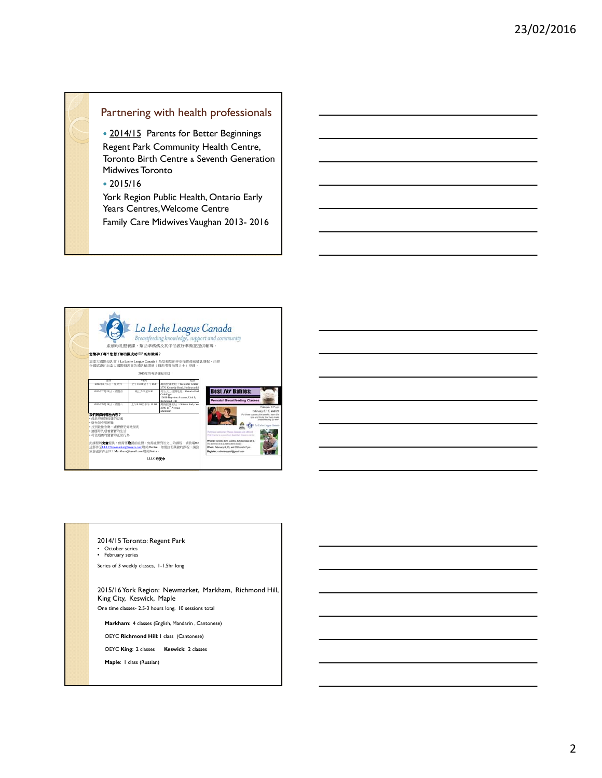## Partnering with health professionals

• 2014/15 Parents for Better Beginnings Regent Park Community Health Centre, Toronto Birth Centre & Seventh Generation Midwives Toronto

2015/16

York Region Public Health, Ontario Early Years Centres, Welcome Centre Family Care Midwives Vaughan 2013- 2016



2014/15 Toronto: Regent Park

• October series • February series

Series of 3 weekly classes, 1-1.5hr long

2015/16 York Region: Newmarket, Markham, Richmond Hill, King City, Keswick, Maple One time classes- 2.5-3 hours long. 10 sessions total

**Markham**: 4 classes (English, Mandarin , Cantonese)

OEYC **Richmond Hill**: 1 class (Cantonese)

OEYC **King**: 2 classes **Keswick**: 2 classes

**Maple**: 1 class (Russian)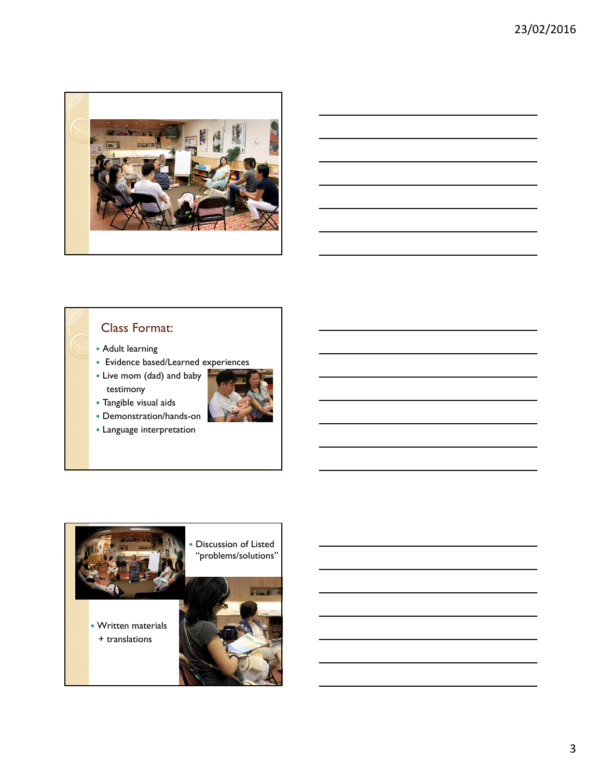

# Class Format:

- Adult learning
- Evidence based/Learned experiences
- Live mom (dad) and baby testimony





- Demonstration/hands-on
- Language interpretation

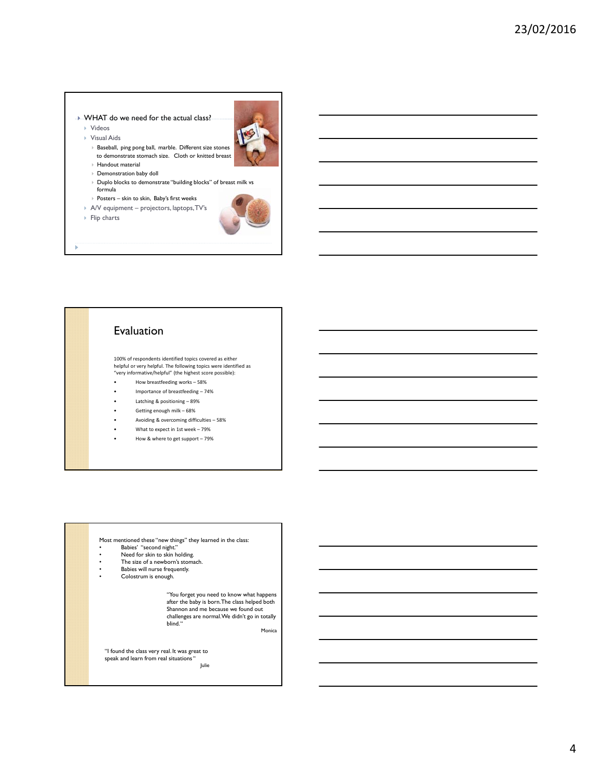#### WHAT do we need for the actual class?

 Videos Visual Aids



 Baseball, ping pong ball, marble. Different size stones to demonstrate stomach size. Cloth or knitted breast

- Handout material
- Demonstration baby doll
- Duplo blocks to demonstrate "building blocks" of breast milk vs formula
- ▶ Posters skin to skin, Baby's first weeks
- A/V equipment projectors, laptops, TV's
- $\triangleright$  Flip charts



## Evaluation

100% of respondents identified topics covered as either helpful or very helpful. The following topics were identified as "very informative/helpful" (the highest score possible):

- How breastfeeding works 58%
- Importance of breastfeeding 74%
- Latching & positioning 89%
- Getting enough milk 68%
- Avoiding & overcoming difficulties 58%
- What to expect in 1st week 79%
- How & where to get support 79%

### Most mentioned these "new things" they learned in the class:

- Babies' "second night."
- Need for skin to skin holding.
- The size of a newborn's stomach.
- Babies will nurse frequently. • Colostrum is enough.

"You forget you need to know what happens after the baby is born. The class helped both Shannon and me because we found out challenges are normal. We didn't go in totally blind. "

Monica

"I found the class very real. It was great to speak and learn from real situations "